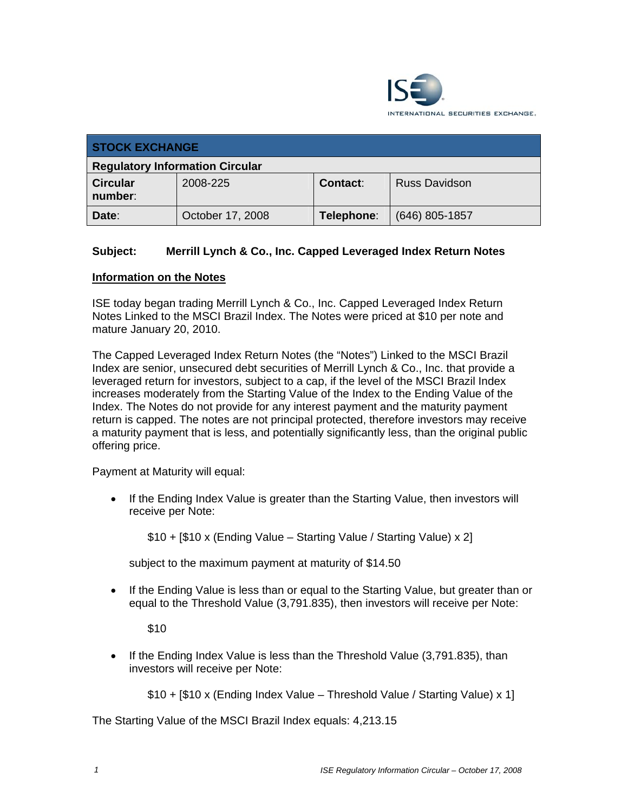

| <b>STOCK EXCHANGE</b>                  |                  |            |                      |  |
|----------------------------------------|------------------|------------|----------------------|--|
| <b>Regulatory Information Circular</b> |                  |            |                      |  |
| <b>Circular</b><br>number:             | 2008-225         | Contact:   | <b>Russ Davidson</b> |  |
| Date:                                  | October 17, 2008 | Telephone: | $(646)$ 805-1857     |  |

## **Subject: Merrill Lynch & Co., Inc. Capped Leveraged Index Return Notes**

## **Information on the Notes**

ISE today began trading Merrill Lynch & Co., Inc. Capped Leveraged Index Return Notes Linked to the MSCI Brazil Index. The Notes were priced at \$10 per note and mature January 20, 2010.

The Capped Leveraged Index Return Notes (the "Notes") Linked to the MSCI Brazil Index are senior, unsecured debt securities of Merrill Lynch & Co., Inc. that provide a leveraged return for investors, subject to a cap, if the level of the MSCI Brazil Index increases moderately from the Starting Value of the Index to the Ending Value of the Index. The Notes do not provide for any interest payment and the maturity payment return is capped. The notes are not principal protected, therefore investors may receive a maturity payment that is less, and potentially significantly less, than the original public offering price.

Payment at Maturity will equal:

• If the Ending Index Value is greater than the Starting Value, then investors will receive per Note:

\$10 + [\$10 x (Ending Value – Starting Value / Starting Value) x 2]

subject to the maximum payment at maturity of \$14.50

• If the Ending Value is less than or equal to the Starting Value, but greater than or equal to the Threshold Value (3,791.835), then investors will receive per Note:

\$10

• If the Ending Index Value is less than the Threshold Value (3,791.835), than investors will receive per Note:

\$10 + [\$10 x (Ending Index Value – Threshold Value / Starting Value) x 1]

The Starting Value of the MSCI Brazil Index equals: 4,213.15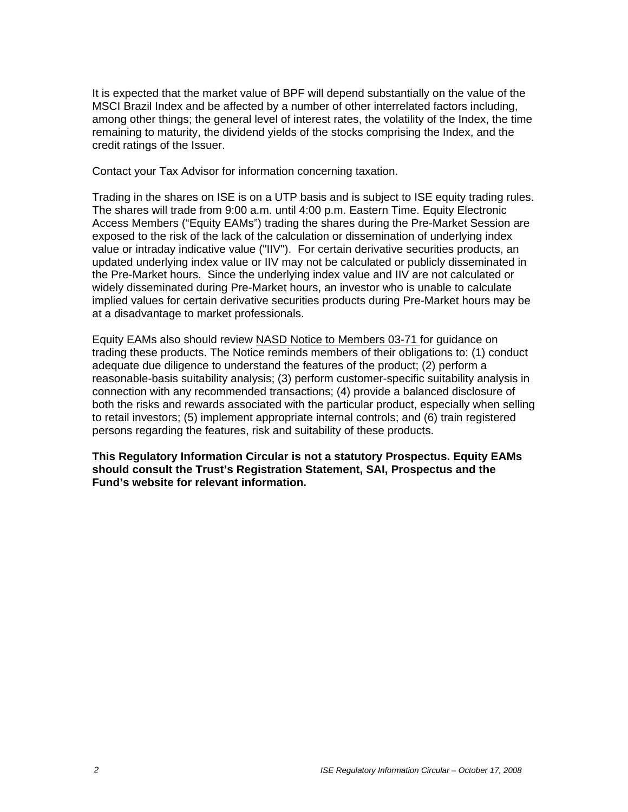It is expected that the market value of BPF will depend substantially on the value of the MSCI Brazil Index and be affected by a number of other interrelated factors including, among other things; the general level of interest rates, the volatility of the Index, the time remaining to maturity, the dividend yields of the stocks comprising the Index, and the credit ratings of the Issuer.

Contact your Tax Advisor for information concerning taxation.

Trading in the shares on ISE is on a UTP basis and is subject to ISE equity trading rules. The shares will trade from 9:00 a.m. until 4:00 p.m. Eastern Time. Equity Electronic Access Members ("Equity EAMs") trading the shares during the Pre-Market Session are exposed to the risk of the lack of the calculation or dissemination of underlying index value or intraday indicative value ("IIV"). For certain derivative securities products, an updated underlying index value or IIV may not be calculated or publicly disseminated in the Pre-Market hours. Since the underlying index value and IIV are not calculated or widely disseminated during Pre-Market hours, an investor who is unable to calculate implied values for certain derivative securities products during Pre-Market hours may be at a disadvantage to market professionals.

Equity EAMs also should review NASD Notice to Members 03-71 for guidance on trading these products. The Notice reminds members of their obligations to: (1) conduct adequate due diligence to understand the features of the product; (2) perform a reasonable-basis suitability analysis; (3) perform customer-specific suitability analysis in connection with any recommended transactions; (4) provide a balanced disclosure of both the risks and rewards associated with the particular product, especially when selling to retail investors; (5) implement appropriate internal controls; and (6) train registered persons regarding the features, risk and suitability of these products.

**This Regulatory Information Circular is not a statutory Prospectus. Equity EAMs should consult the Trust's Registration Statement, SAI, Prospectus and the Fund's website for relevant information.**